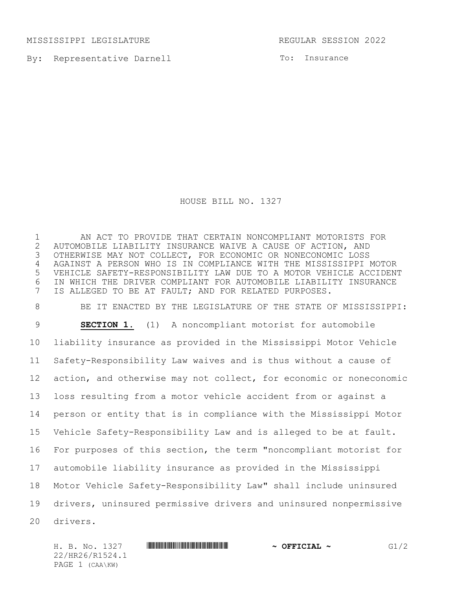MISSISSIPPI LEGISLATURE REGULAR SESSION 2022

By: Representative Darnell

To: Insurance

HOUSE BILL NO. 1327

 AN ACT TO PROVIDE THAT CERTAIN NONCOMPLIANT MOTORISTS FOR 2 AUTOMOBILE LIABILITY INSURANCE WAIVE A CAUSE OF ACTION, AND<br>3 OTHERWISE MAY NOT COLLECT, FOR ECONOMIC OR NONECONOMIC LOSS OTHERWISE MAY NOT COLLECT, FOR ECONOMIC OR NONECONOMIC LOSS AGAINST A PERSON WHO IS IN COMPLIANCE WITH THE MISSISSIPPI MOTOR VEHICLE SAFETY-RESPONSIBILITY LAW DUE TO A MOTOR VEHICLE ACCIDENT IN WHICH THE DRIVER COMPLIANT FOR AUTOMOBILE LIABILITY INSURANCE IS ALLEGED TO BE AT FAULT; AND FOR RELATED PURPOSES.

 BE IT ENACTED BY THE LEGISLATURE OF THE STATE OF MISSISSIPPI: **SECTION 1.** (1) A noncompliant motorist for automobile liability insurance as provided in the Mississippi Motor Vehicle Safety-Responsibility Law waives and is thus without a cause of action, and otherwise may not collect, for economic or noneconomic loss resulting from a motor vehicle accident from or against a person or entity that is in compliance with the Mississippi Motor Vehicle Safety-Responsibility Law and is alleged to be at fault. For purposes of this section, the term "noncompliant motorist for automobile liability insurance as provided in the Mississippi Motor Vehicle Safety-Responsibility Law" shall include uninsured drivers, uninsured permissive drivers and uninsured nonpermissive drivers.

H. B. No. 1327 **HREFREE REEL REEL REEL PROPERTIES 61/2** 22/HR26/R1524.1 PAGE 1 (CAA\KW)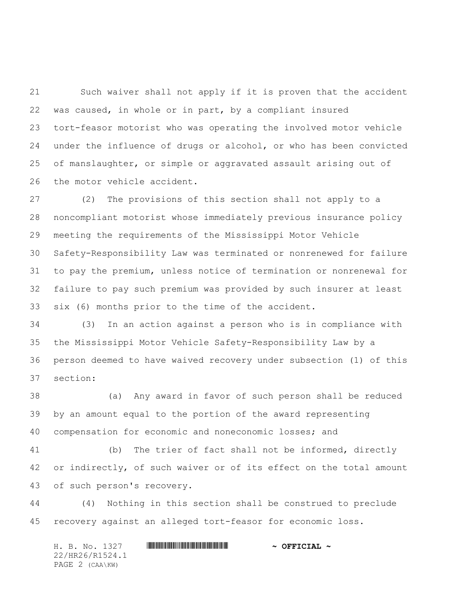Such waiver shall not apply if it is proven that the accident was caused, in whole or in part, by a compliant insured tort-feasor motorist who was operating the involved motor vehicle under the influence of drugs or alcohol, or who has been convicted of manslaughter, or simple or aggravated assault arising out of the motor vehicle accident.

 (2) The provisions of this section shall not apply to a noncompliant motorist whose immediately previous insurance policy meeting the requirements of the Mississippi Motor Vehicle Safety-Responsibility Law was terminated or nonrenewed for failure to pay the premium, unless notice of termination or nonrenewal for failure to pay such premium was provided by such insurer at least six (6) months prior to the time of the accident.

 (3) In an action against a person who is in compliance with the Mississippi Motor Vehicle Safety-Responsibility Law by a person deemed to have waived recovery under subsection (1) of this section:

 (a) Any award in favor of such person shall be reduced by an amount equal to the portion of the award representing compensation for economic and noneconomic losses; and

 (b) The trier of fact shall not be informed, directly or indirectly, of such waiver or of its effect on the total amount of such person's recovery.

 (4) Nothing in this section shall be construed to preclude recovery against an alleged tort-feasor for economic loss.

H. B. No. 1327 **. AND AND AN ABLE AND ARRIVE AT A DEFICIAL ~** 22/HR26/R1524.1 PAGE 2 (CAA\KW)